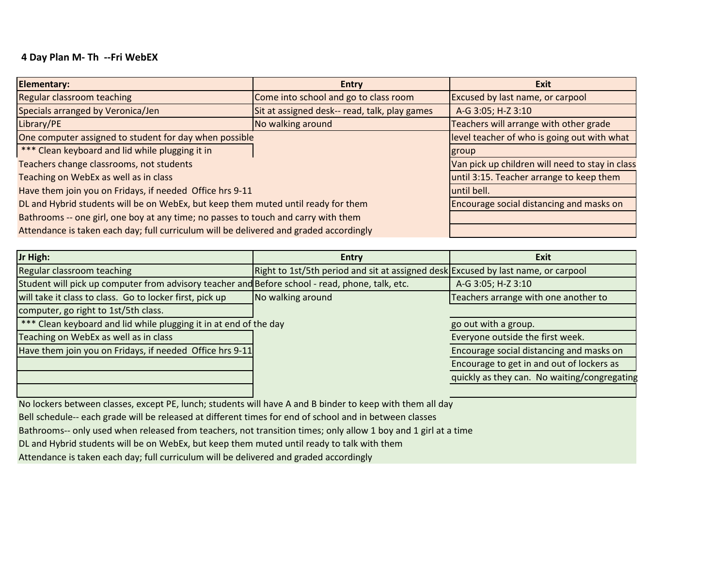## **4 Day Plan M- Th --Fri WebEX**

| <b>Elementary:</b>                                                                     | <b>Entry</b>                                  | Exit                                            |
|----------------------------------------------------------------------------------------|-----------------------------------------------|-------------------------------------------------|
| Regular classroom teaching                                                             | Come into school and go to class room         | <b>Excused by last name, or carpool</b>         |
| Specials arranged by Veronica/Jen                                                      | Sit at assigned desk-- read, talk, play games | A-G 3:05; H-Z 3:10                              |
| Library/PE                                                                             | No walking around                             | Teachers will arrange with other grade          |
| One computer assigned to student for day when possible                                 |                                               | level teacher of who is going out with what     |
| *** Clean keyboard and lid while plugging it in                                        |                                               | group                                           |
| Teachers change classrooms, not students                                               |                                               | Van pick up children will need to stay in class |
| Teaching on WebEx as well as in class                                                  |                                               | until 3:15. Teacher arrange to keep them        |
| Have them join you on Fridays, if needed Office hrs 9-11                               |                                               | until bell.                                     |
| DL and Hybrid students will be on WebEx, but keep them muted until ready for them      |                                               | Encourage social distancing and masks on        |
| Bathrooms -- one girl, one boy at any time; no passes to touch and carry with them     |                                               |                                                 |
| Attendance is taken each day; full curriculum will be delivered and graded accordingly |                                               |                                                 |

| Jr High:                                                                                        | <b>Entry</b>                                                                      | Exit                                         |
|-------------------------------------------------------------------------------------------------|-----------------------------------------------------------------------------------|----------------------------------------------|
| Regular classroom teaching                                                                      | Right to 1st/5th period and sit at assigned desk Excused by last name, or carpool |                                              |
| Student will pick up computer from advisory teacher and Before school - read, phone, talk, etc. |                                                                                   | A-G 3:05; H-Z 3:10                           |
| will take it class to class. Go to locker first, pick up                                        | No walking around                                                                 | Teachers arrange with one another to         |
| computer, go right to 1st/5th class.                                                            |                                                                                   |                                              |
| *** Clean keyboard and lid while plugging it in at end of the day                               |                                                                                   | go out with a group.                         |
| Teaching on WebEx as well as in class                                                           |                                                                                   | Everyone outside the first week.             |
| Have them join you on Fridays, if needed Office hrs 9-11                                        |                                                                                   | Encourage social distancing and masks on     |
|                                                                                                 |                                                                                   | Encourage to get in and out of lockers as    |
|                                                                                                 |                                                                                   | quickly as they can. No waiting/congregating |
|                                                                                                 |                                                                                   |                                              |

No lockers between classes, except PE, lunch; students will have A and B binder to keep with them all day

Bell schedule-- each grade will be released at different times for end of school and in between classes

Bathrooms-- only used when released from teachers, not transition times; only allow 1 boy and 1 girl at a time

DL and Hybrid students will be on WebEx, but keep them muted until ready to talk with them

Attendance is taken each day; full curriculum will be delivered and graded accordingly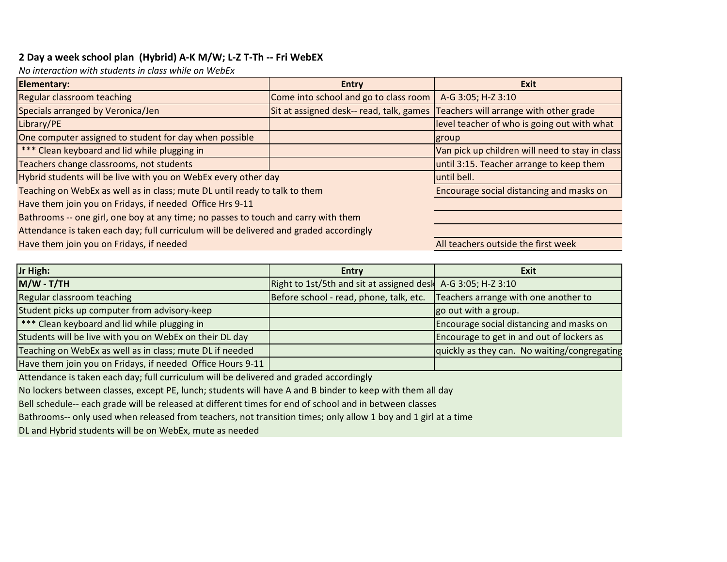## **2 Day a week school plan (Hybrid) A-K M/W; L-Z T-Th -- Fri WebEX**

*No interaction with students in class while on WebEx*

| <b>Elementary:</b>                                                                     | <b>Entry</b>                                                                    | <b>Exit</b>                                     |
|----------------------------------------------------------------------------------------|---------------------------------------------------------------------------------|-------------------------------------------------|
| <b>Regular classroom teaching</b>                                                      | Come into school and go to class room                                           | A-G 3:05; H-Z 3:10                              |
| Specials arranged by Veronica/Jen                                                      | Sit at assigned desk-- read, talk, games Teachers will arrange with other grade |                                                 |
| Library/PE                                                                             |                                                                                 | level teacher of who is going out with what     |
| One computer assigned to student for day when possible                                 |                                                                                 | group                                           |
| *** Clean keyboard and lid while plugging in                                           |                                                                                 | Van pick up children will need to stay in class |
| Teachers change classrooms, not students                                               |                                                                                 | until 3:15. Teacher arrange to keep them        |
| Hybrid students will be live with you on WebEx every other day                         |                                                                                 | until bell.                                     |
| Teaching on WebEx as well as in class; mute DL until ready to talk to them             |                                                                                 | Encourage social distancing and masks on        |
| Have them join you on Fridays, if needed Office Hrs 9-11                               |                                                                                 |                                                 |
| Bathrooms -- one girl, one boy at any time; no passes to touch and carry with them     |                                                                                 |                                                 |
| Attendance is taken each day; full curriculum will be delivered and graded accordingly |                                                                                 |                                                 |
| Have them join you on Fridays, if needed                                               |                                                                                 | All teachers outside the first week             |

| Jr High:                                                   | <b>Entry</b>                                                 | Exit                                         |
|------------------------------------------------------------|--------------------------------------------------------------|----------------------------------------------|
| M/W - T/TH                                                 | Right to 1st/5th and sit at assigned desk A-G 3:05; H-Z 3:10 |                                              |
| Regular classroom teaching                                 | Before school - read, phone, talk, etc.                      | Teachers arrange with one another to         |
| Student picks up computer from advisory-keep               |                                                              | go out with a group.                         |
| <b>***</b> Clean keyboard and lid while plugging in        |                                                              | Encourage social distancing and masks on     |
| Students will be live with you on WebEx on their DL day    |                                                              | Encourage to get in and out of lockers as    |
| Teaching on WebEx as well as in class; mute DL if needed   |                                                              | quickly as they can. No waiting/congregating |
| Have them join you on Fridays, if needed Office Hours 9-11 |                                                              |                                              |

Attendance is taken each day; full curriculum will be delivered and graded accordingly

No lockers between classes, except PE, lunch; students will have A and B binder to keep with them all day

Bell schedule-- each grade will be released at different times for end of school and in between classes

Bathrooms-- only used when released from teachers, not transition times; only allow 1 boy and 1 girl at a time

DL and Hybrid students will be on WebEx, mute as needed